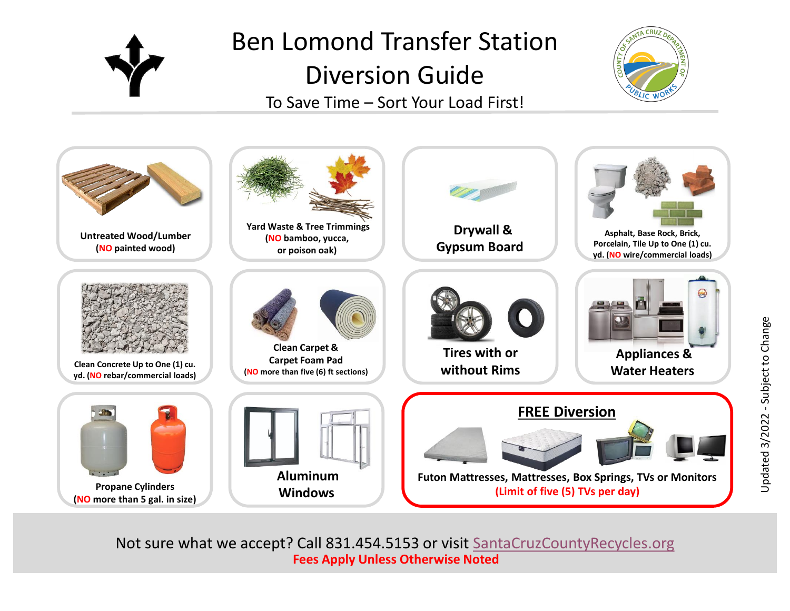

## Ben Lomond Transfer Station Diversion Guide To Save Time – Sort Your Load First!





Not sure what we accept? Call 831.454.5153 or visit [SantaCruzCountyRecycles.org](http://www.santacruzcountyrecycles.org/) **Fees Apply Unless Otherwise Noted**